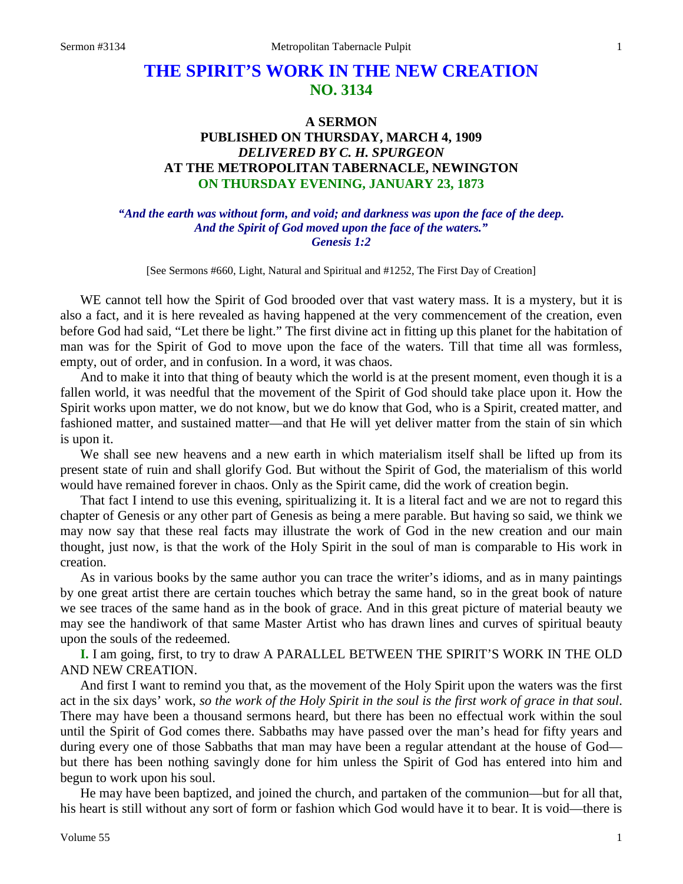# **THE SPIRIT'S WORK IN THE NEW CREATION NO. 3134**

# **A SERMON PUBLISHED ON THURSDAY, MARCH 4, 1909** *DELIVERED BY C. H. SPURGEON* **AT THE METROPOLITAN TABERNACLE, NEWINGTON ON THURSDAY EVENING, JANUARY 23, 1873**

### *"And the earth was without form, and void; and darkness was upon the face of the deep. And the Spirit of God moved upon the face of the waters." Genesis 1:2*

[See Sermons #660, Light, Natural and Spiritual and #1252, The First Day of Creation]

WE cannot tell how the Spirit of God brooded over that vast watery mass. It is a mystery, but it is also a fact, and it is here revealed as having happened at the very commencement of the creation, even before God had said, "Let there be light." The first divine act in fitting up this planet for the habitation of man was for the Spirit of God to move upon the face of the waters. Till that time all was formless, empty, out of order, and in confusion. In a word, it was chaos.

And to make it into that thing of beauty which the world is at the present moment, even though it is a fallen world, it was needful that the movement of the Spirit of God should take place upon it. How the Spirit works upon matter, we do not know, but we do know that God, who is a Spirit, created matter, and fashioned matter, and sustained matter—and that He will yet deliver matter from the stain of sin which is upon it.

We shall see new heavens and a new earth in which materialism itself shall be lifted up from its present state of ruin and shall glorify God. But without the Spirit of God, the materialism of this world would have remained forever in chaos. Only as the Spirit came, did the work of creation begin.

That fact I intend to use this evening, spiritualizing it. It is a literal fact and we are not to regard this chapter of Genesis or any other part of Genesis as being a mere parable. But having so said, we think we may now say that these real facts may illustrate the work of God in the new creation and our main thought, just now, is that the work of the Holy Spirit in the soul of man is comparable to His work in creation.

As in various books by the same author you can trace the writer's idioms, and as in many paintings by one great artist there are certain touches which betray the same hand, so in the great book of nature we see traces of the same hand as in the book of grace. And in this great picture of material beauty we may see the handiwork of that same Master Artist who has drawn lines and curves of spiritual beauty upon the souls of the redeemed.

**I.** I am going, first, to try to draw A PARALLEL BETWEEN THE SPIRIT'S WORK IN THE OLD AND NEW CREATION.

And first I want to remind you that, as the movement of the Holy Spirit upon the waters was the first act in the six days' work, *so the work of the Holy Spirit in the soul is the first work of grace in that soul*. There may have been a thousand sermons heard, but there has been no effectual work within the soul until the Spirit of God comes there. Sabbaths may have passed over the man's head for fifty years and during every one of those Sabbaths that man may have been a regular attendant at the house of God but there has been nothing savingly done for him unless the Spirit of God has entered into him and begun to work upon his soul.

He may have been baptized, and joined the church, and partaken of the communion—but for all that, his heart is still without any sort of form or fashion which God would have it to bear. It is void—there is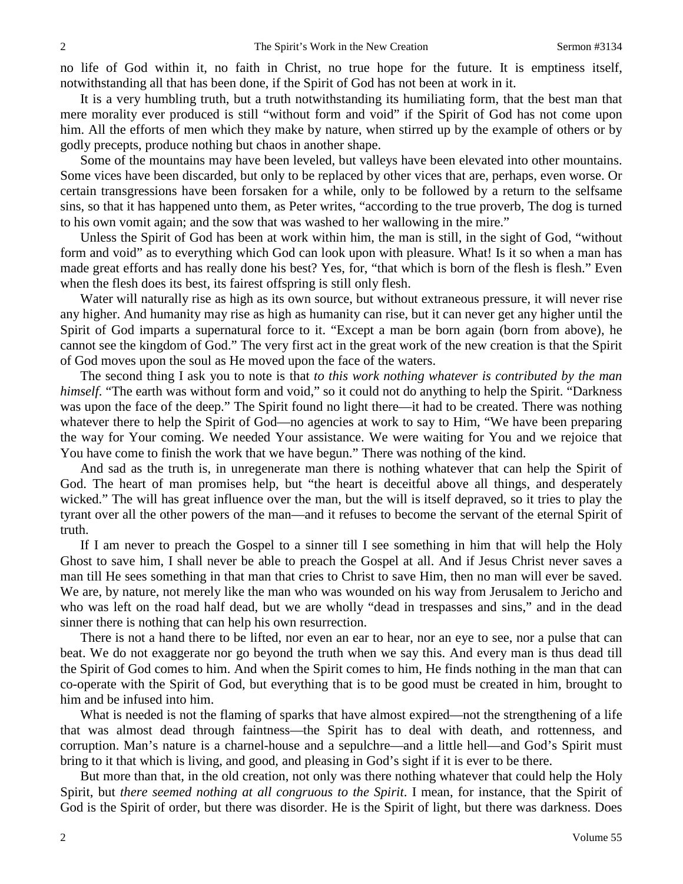no life of God within it, no faith in Christ, no true hope for the future. It is emptiness itself, notwithstanding all that has been done, if the Spirit of God has not been at work in it.

It is a very humbling truth, but a truth notwithstanding its humiliating form, that the best man that mere morality ever produced is still "without form and void" if the Spirit of God has not come upon him. All the efforts of men which they make by nature, when stirred up by the example of others or by godly precepts, produce nothing but chaos in another shape.

Some of the mountains may have been leveled, but valleys have been elevated into other mountains. Some vices have been discarded, but only to be replaced by other vices that are, perhaps, even worse. Or certain transgressions have been forsaken for a while, only to be followed by a return to the selfsame sins, so that it has happened unto them, as Peter writes, "according to the true proverb, The dog is turned to his own vomit again; and the sow that was washed to her wallowing in the mire."

Unless the Spirit of God has been at work within him, the man is still, in the sight of God, "without form and void" as to everything which God can look upon with pleasure. What! Is it so when a man has made great efforts and has really done his best? Yes, for, "that which is born of the flesh is flesh." Even when the flesh does its best, its fairest offspring is still only flesh.

Water will naturally rise as high as its own source, but without extraneous pressure, it will never rise any higher. And humanity may rise as high as humanity can rise, but it can never get any higher until the Spirit of God imparts a supernatural force to it. "Except a man be born again (born from above), he cannot see the kingdom of God." The very first act in the great work of the new creation is that the Spirit of God moves upon the soul as He moved upon the face of the waters.

The second thing I ask you to note is that *to this work nothing whatever is contributed by the man himself.* "The earth was without form and void," so it could not do anything to help the Spirit. "Darkness" was upon the face of the deep." The Spirit found no light there—it had to be created. There was nothing whatever there to help the Spirit of God—no agencies at work to say to Him, "We have been preparing the way for Your coming. We needed Your assistance. We were waiting for You and we rejoice that You have come to finish the work that we have begun." There was nothing of the kind.

And sad as the truth is, in unregenerate man there is nothing whatever that can help the Spirit of God. The heart of man promises help, but "the heart is deceitful above all things, and desperately wicked." The will has great influence over the man, but the will is itself depraved, so it tries to play the tyrant over all the other powers of the man—and it refuses to become the servant of the eternal Spirit of truth.

If I am never to preach the Gospel to a sinner till I see something in him that will help the Holy Ghost to save him, I shall never be able to preach the Gospel at all. And if Jesus Christ never saves a man till He sees something in that man that cries to Christ to save Him, then no man will ever be saved. We are, by nature, not merely like the man who was wounded on his way from Jerusalem to Jericho and who was left on the road half dead, but we are wholly "dead in trespasses and sins," and in the dead sinner there is nothing that can help his own resurrection.

There is not a hand there to be lifted, nor even an ear to hear, nor an eye to see, nor a pulse that can beat. We do not exaggerate nor go beyond the truth when we say this. And every man is thus dead till the Spirit of God comes to him. And when the Spirit comes to him, He finds nothing in the man that can co-operate with the Spirit of God, but everything that is to be good must be created in him, brought to him and be infused into him.

What is needed is not the flaming of sparks that have almost expired—not the strengthening of a life that was almost dead through faintness—the Spirit has to deal with death, and rottenness, and corruption. Man's nature is a charnel-house and a sepulchre—and a little hell—and God's Spirit must bring to it that which is living, and good, and pleasing in God's sight if it is ever to be there.

But more than that, in the old creation, not only was there nothing whatever that could help the Holy Spirit, but *there seemed nothing at all congruous to the Spirit*. I mean, for instance, that the Spirit of God is the Spirit of order, but there was disorder. He is the Spirit of light, but there was darkness. Does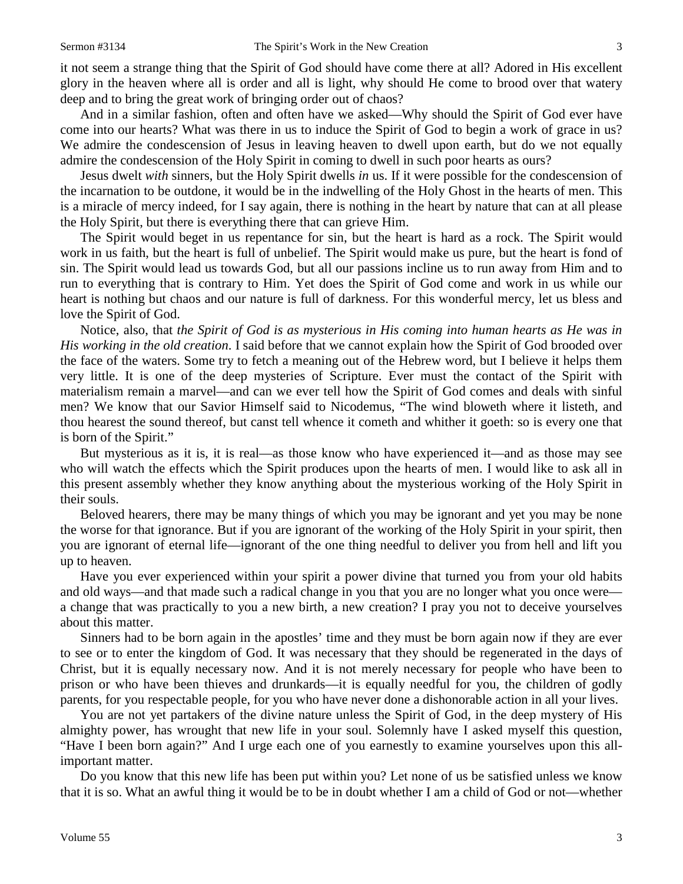it not seem a strange thing that the Spirit of God should have come there at all? Adored in His excellent glory in the heaven where all is order and all is light, why should He come to brood over that watery deep and to bring the great work of bringing order out of chaos?

And in a similar fashion, often and often have we asked—Why should the Spirit of God ever have come into our hearts? What was there in us to induce the Spirit of God to begin a work of grace in us? We admire the condescension of Jesus in leaving heaven to dwell upon earth, but do we not equally admire the condescension of the Holy Spirit in coming to dwell in such poor hearts as ours?

Jesus dwelt *with* sinners, but the Holy Spirit dwells *in* us. If it were possible for the condescension of the incarnation to be outdone, it would be in the indwelling of the Holy Ghost in the hearts of men. This is a miracle of mercy indeed, for I say again, there is nothing in the heart by nature that can at all please the Holy Spirit, but there is everything there that can grieve Him.

The Spirit would beget in us repentance for sin, but the heart is hard as a rock. The Spirit would work in us faith, but the heart is full of unbelief. The Spirit would make us pure, but the heart is fond of sin. The Spirit would lead us towards God, but all our passions incline us to run away from Him and to run to everything that is contrary to Him. Yet does the Spirit of God come and work in us while our heart is nothing but chaos and our nature is full of darkness. For this wonderful mercy, let us bless and love the Spirit of God.

Notice, also, that *the Spirit of God is as mysterious in His coming into human hearts as He was in His working in the old creation*. I said before that we cannot explain how the Spirit of God brooded over the face of the waters. Some try to fetch a meaning out of the Hebrew word, but I believe it helps them very little. It is one of the deep mysteries of Scripture. Ever must the contact of the Spirit with materialism remain a marvel—and can we ever tell how the Spirit of God comes and deals with sinful men? We know that our Savior Himself said to Nicodemus, "The wind bloweth where it listeth, and thou hearest the sound thereof, but canst tell whence it cometh and whither it goeth: so is every one that is born of the Spirit."

But mysterious as it is, it is real—as those know who have experienced it—and as those may see who will watch the effects which the Spirit produces upon the hearts of men. I would like to ask all in this present assembly whether they know anything about the mysterious working of the Holy Spirit in their souls.

Beloved hearers, there may be many things of which you may be ignorant and yet you may be none the worse for that ignorance. But if you are ignorant of the working of the Holy Spirit in your spirit, then you are ignorant of eternal life—ignorant of the one thing needful to deliver you from hell and lift you up to heaven.

Have you ever experienced within your spirit a power divine that turned you from your old habits and old ways—and that made such a radical change in you that you are no longer what you once were a change that was practically to you a new birth, a new creation? I pray you not to deceive yourselves about this matter.

Sinners had to be born again in the apostles' time and they must be born again now if they are ever to see or to enter the kingdom of God. It was necessary that they should be regenerated in the days of Christ, but it is equally necessary now. And it is not merely necessary for people who have been to prison or who have been thieves and drunkards—it is equally needful for you, the children of godly parents, for you respectable people, for you who have never done a dishonorable action in all your lives.

You are not yet partakers of the divine nature unless the Spirit of God, in the deep mystery of His almighty power, has wrought that new life in your soul. Solemnly have I asked myself this question, "Have I been born again?" And I urge each one of you earnestly to examine yourselves upon this allimportant matter.

Do you know that this new life has been put within you? Let none of us be satisfied unless we know that it is so. What an awful thing it would be to be in doubt whether I am a child of God or not—whether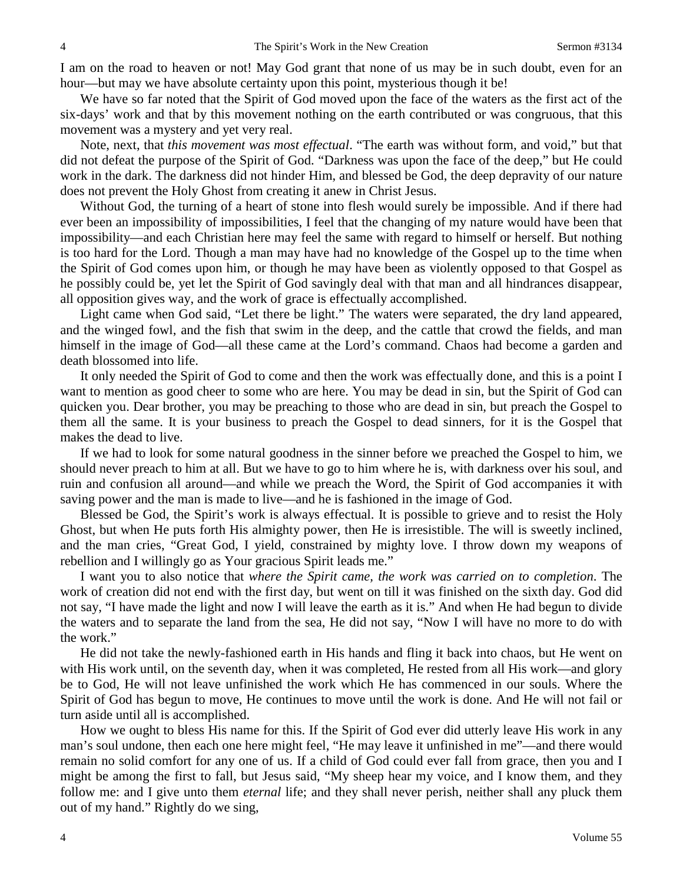I am on the road to heaven or not! May God grant that none of us may be in such doubt, even for an hour—but may we have absolute certainty upon this point, mysterious though it be!

We have so far noted that the Spirit of God moved upon the face of the waters as the first act of the six-days' work and that by this movement nothing on the earth contributed or was congruous, that this movement was a mystery and yet very real.

Note, next, that *this movement was most effectual*. "The earth was without form, and void," but that did not defeat the purpose of the Spirit of God. "Darkness was upon the face of the deep," but He could work in the dark. The darkness did not hinder Him, and blessed be God, the deep depravity of our nature does not prevent the Holy Ghost from creating it anew in Christ Jesus.

Without God, the turning of a heart of stone into flesh would surely be impossible. And if there had ever been an impossibility of impossibilities, I feel that the changing of my nature would have been that impossibility—and each Christian here may feel the same with regard to himself or herself. But nothing is too hard for the Lord. Though a man may have had no knowledge of the Gospel up to the time when the Spirit of God comes upon him, or though he may have been as violently opposed to that Gospel as he possibly could be, yet let the Spirit of God savingly deal with that man and all hindrances disappear, all opposition gives way, and the work of grace is effectually accomplished.

Light came when God said, "Let there be light." The waters were separated, the dry land appeared, and the winged fowl, and the fish that swim in the deep, and the cattle that crowd the fields, and man himself in the image of God—all these came at the Lord's command. Chaos had become a garden and death blossomed into life.

It only needed the Spirit of God to come and then the work was effectually done, and this is a point I want to mention as good cheer to some who are here. You may be dead in sin, but the Spirit of God can quicken you. Dear brother, you may be preaching to those who are dead in sin, but preach the Gospel to them all the same. It is your business to preach the Gospel to dead sinners, for it is the Gospel that makes the dead to live.

If we had to look for some natural goodness in the sinner before we preached the Gospel to him, we should never preach to him at all. But we have to go to him where he is, with darkness over his soul, and ruin and confusion all around—and while we preach the Word, the Spirit of God accompanies it with saving power and the man is made to live—and he is fashioned in the image of God.

Blessed be God, the Spirit's work is always effectual. It is possible to grieve and to resist the Holy Ghost, but when He puts forth His almighty power, then He is irresistible. The will is sweetly inclined, and the man cries, "Great God, I yield, constrained by mighty love. I throw down my weapons of rebellion and I willingly go as Your gracious Spirit leads me."

I want you to also notice that *where the Spirit came, the work was carried on to completion*. The work of creation did not end with the first day, but went on till it was finished on the sixth day. God did not say, "I have made the light and now I will leave the earth as it is." And when He had begun to divide the waters and to separate the land from the sea, He did not say, "Now I will have no more to do with the work."

He did not take the newly-fashioned earth in His hands and fling it back into chaos, but He went on with His work until, on the seventh day, when it was completed, He rested from all His work—and glory be to God, He will not leave unfinished the work which He has commenced in our souls. Where the Spirit of God has begun to move, He continues to move until the work is done. And He will not fail or turn aside until all is accomplished.

How we ought to bless His name for this. If the Spirit of God ever did utterly leave His work in any man's soul undone, then each one here might feel, "He may leave it unfinished in me"—and there would remain no solid comfort for any one of us. If a child of God could ever fall from grace, then you and I might be among the first to fall, but Jesus said, "My sheep hear my voice, and I know them, and they follow me: and I give unto them *eternal* life; and they shall never perish, neither shall any pluck them out of my hand." Rightly do we sing,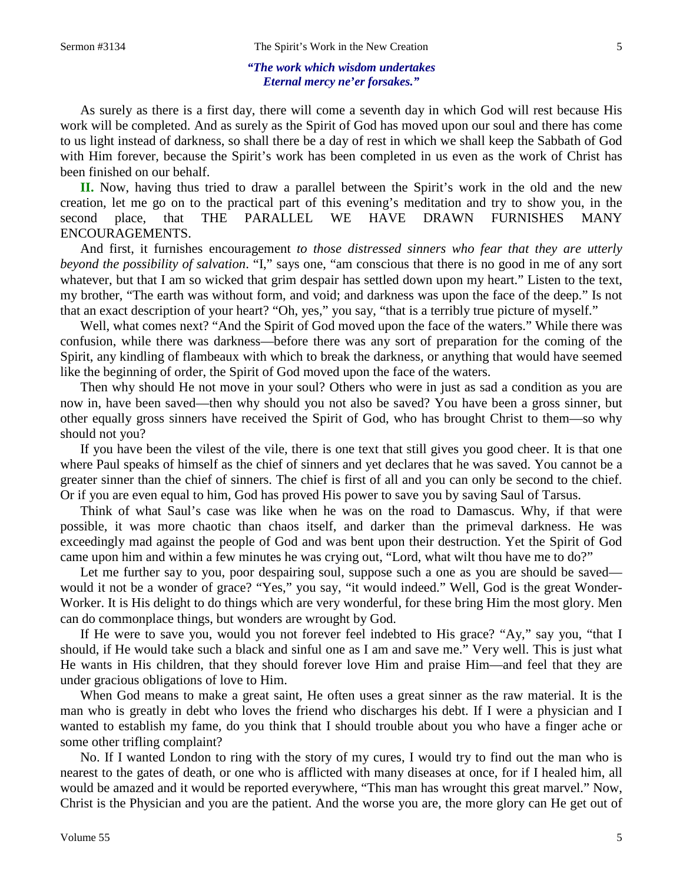#### *"The work which wisdom undertakes Eternal mercy ne'er forsakes."*

As surely as there is a first day, there will come a seventh day in which God will rest because His work will be completed. And as surely as the Spirit of God has moved upon our soul and there has come to us light instead of darkness, so shall there be a day of rest in which we shall keep the Sabbath of God with Him forever, because the Spirit's work has been completed in us even as the work of Christ has been finished on our behalf.

**II.** Now, having thus tried to draw a parallel between the Spirit's work in the old and the new creation, let me go on to the practical part of this evening's meditation and try to show you, in the second place, that THE PARALLEL WE HAVE DRAWN FURNISHES MANY ENCOURAGEMENTS.

And first, it furnishes encouragement *to those distressed sinners who fear that they are utterly beyond the possibility of salvation*. "I," says one, "am conscious that there is no good in me of any sort whatever, but that I am so wicked that grim despair has settled down upon my heart." Listen to the text, my brother, "The earth was without form, and void; and darkness was upon the face of the deep." Is not that an exact description of your heart? "Oh, yes," you say, "that is a terribly true picture of myself."

Well, what comes next? "And the Spirit of God moved upon the face of the waters." While there was confusion, while there was darkness—before there was any sort of preparation for the coming of the Spirit, any kindling of flambeaux with which to break the darkness, or anything that would have seemed like the beginning of order, the Spirit of God moved upon the face of the waters.

Then why should He not move in your soul? Others who were in just as sad a condition as you are now in, have been saved—then why should you not also be saved? You have been a gross sinner, but other equally gross sinners have received the Spirit of God, who has brought Christ to them—so why should not you?

If you have been the vilest of the vile, there is one text that still gives you good cheer. It is that one where Paul speaks of himself as the chief of sinners and yet declares that he was saved. You cannot be a greater sinner than the chief of sinners. The chief is first of all and you can only be second to the chief. Or if you are even equal to him, God has proved His power to save you by saving Saul of Tarsus.

Think of what Saul's case was like when he was on the road to Damascus. Why, if that were possible, it was more chaotic than chaos itself, and darker than the primeval darkness. He was exceedingly mad against the people of God and was bent upon their destruction. Yet the Spirit of God came upon him and within a few minutes he was crying out, "Lord, what wilt thou have me to do?"

Let me further say to you, poor despairing soul, suppose such a one as you are should be saved would it not be a wonder of grace? "Yes," you say, "it would indeed." Well, God is the great Wonder-Worker. It is His delight to do things which are very wonderful, for these bring Him the most glory. Men can do commonplace things, but wonders are wrought by God.

If He were to save you, would you not forever feel indebted to His grace? "Ay," say you, "that I should, if He would take such a black and sinful one as I am and save me." Very well. This is just what He wants in His children, that they should forever love Him and praise Him—and feel that they are under gracious obligations of love to Him.

When God means to make a great saint, He often uses a great sinner as the raw material. It is the man who is greatly in debt who loves the friend who discharges his debt. If I were a physician and I wanted to establish my fame, do you think that I should trouble about you who have a finger ache or some other trifling complaint?

No. If I wanted London to ring with the story of my cures, I would try to find out the man who is nearest to the gates of death, or one who is afflicted with many diseases at once, for if I healed him, all would be amazed and it would be reported everywhere, "This man has wrought this great marvel." Now, Christ is the Physician and you are the patient. And the worse you are, the more glory can He get out of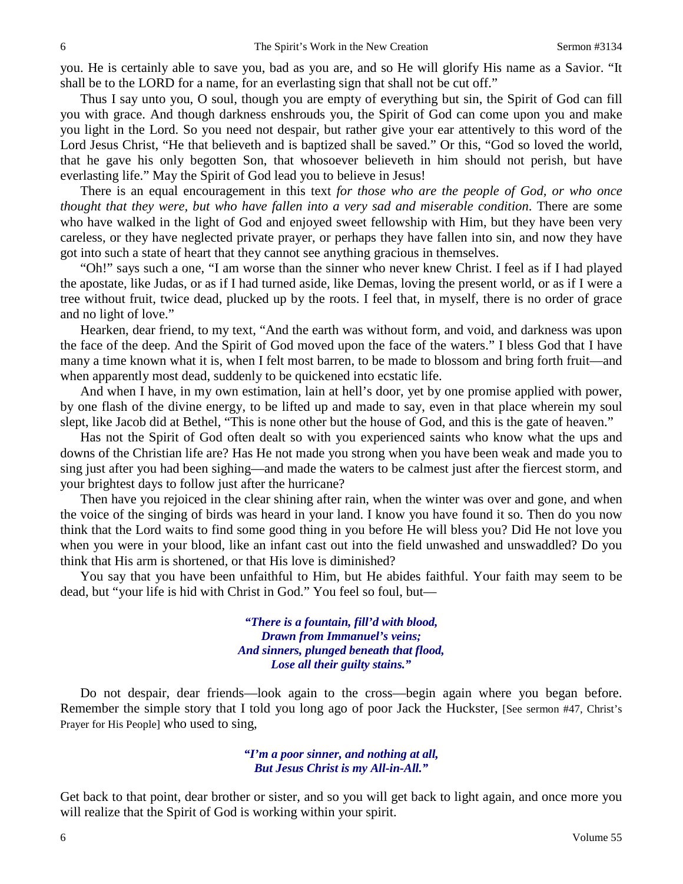you. He is certainly able to save you, bad as you are, and so He will glorify His name as a Savior. "It shall be to the LORD for a name, for an everlasting sign that shall not be cut off."

Thus I say unto you, O soul, though you are empty of everything but sin, the Spirit of God can fill you with grace. And though darkness enshrouds you, the Spirit of God can come upon you and make you light in the Lord. So you need not despair, but rather give your ear attentively to this word of the Lord Jesus Christ, "He that believeth and is baptized shall be saved." Or this, "God so loved the world, that he gave his only begotten Son, that whosoever believeth in him should not perish, but have everlasting life." May the Spirit of God lead you to believe in Jesus!

There is an equal encouragement in this text *for those who are the people of God, or who once thought that they were, but who have fallen into a very sad and miserable condition*. There are some who have walked in the light of God and enjoyed sweet fellowship with Him, but they have been very careless, or they have neglected private prayer, or perhaps they have fallen into sin, and now they have got into such a state of heart that they cannot see anything gracious in themselves.

"Oh!" says such a one, "I am worse than the sinner who never knew Christ. I feel as if I had played the apostate, like Judas, or as if I had turned aside, like Demas, loving the present world, or as if I were a tree without fruit, twice dead, plucked up by the roots. I feel that, in myself, there is no order of grace and no light of love."

Hearken, dear friend, to my text, "And the earth was without form, and void, and darkness was upon the face of the deep. And the Spirit of God moved upon the face of the waters." I bless God that I have many a time known what it is, when I felt most barren, to be made to blossom and bring forth fruit—and when apparently most dead, suddenly to be quickened into ecstatic life.

And when I have, in my own estimation, lain at hell's door, yet by one promise applied with power, by one flash of the divine energy, to be lifted up and made to say, even in that place wherein my soul slept, like Jacob did at Bethel, "This is none other but the house of God, and this is the gate of heaven."

Has not the Spirit of God often dealt so with you experienced saints who know what the ups and downs of the Christian life are? Has He not made you strong when you have been weak and made you to sing just after you had been sighing—and made the waters to be calmest just after the fiercest storm, and your brightest days to follow just after the hurricane?

Then have you rejoiced in the clear shining after rain, when the winter was over and gone, and when the voice of the singing of birds was heard in your land. I know you have found it so. Then do you now think that the Lord waits to find some good thing in you before He will bless you? Did He not love you when you were in your blood, like an infant cast out into the field unwashed and unswaddled? Do you think that His arm is shortened, or that His love is diminished?

You say that you have been unfaithful to Him, but He abides faithful. Your faith may seem to be dead, but "your life is hid with Christ in God." You feel so foul, but—

> *"There is a fountain, fill'd with blood, Drawn from Immanuel's veins; And sinners, plunged beneath that flood, Lose all their guilty stains."*

Do not despair, dear friends—look again to the cross—begin again where you began before. Remember the simple story that I told you long ago of poor Jack the Huckster, [See sermon #47, Christ's Prayer for His People] who used to sing,

> *"I'm a poor sinner, and nothing at all, But Jesus Christ is my All-in-All."*

Get back to that point, dear brother or sister, and so you will get back to light again, and once more you will realize that the Spirit of God is working within your spirit.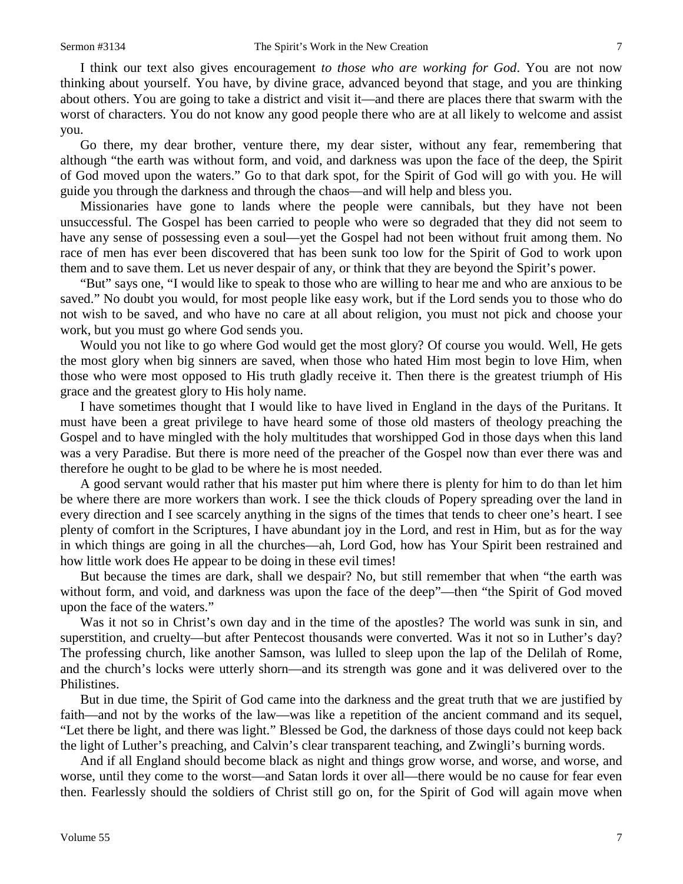I think our text also gives encouragement *to those who are working for God*. You are not now thinking about yourself. You have, by divine grace, advanced beyond that stage, and you are thinking about others. You are going to take a district and visit it—and there are places there that swarm with the worst of characters. You do not know any good people there who are at all likely to welcome and assist you.

Go there, my dear brother, venture there, my dear sister, without any fear, remembering that although "the earth was without form, and void, and darkness was upon the face of the deep, the Spirit of God moved upon the waters." Go to that dark spot, for the Spirit of God will go with you. He will guide you through the darkness and through the chaos—and will help and bless you.

Missionaries have gone to lands where the people were cannibals, but they have not been unsuccessful. The Gospel has been carried to people who were so degraded that they did not seem to have any sense of possessing even a soul—yet the Gospel had not been without fruit among them. No race of men has ever been discovered that has been sunk too low for the Spirit of God to work upon them and to save them. Let us never despair of any, or think that they are beyond the Spirit's power.

"But" says one, "I would like to speak to those who are willing to hear me and who are anxious to be saved." No doubt you would, for most people like easy work, but if the Lord sends you to those who do not wish to be saved, and who have no care at all about religion, you must not pick and choose your work, but you must go where God sends you.

Would you not like to go where God would get the most glory? Of course you would. Well, He gets the most glory when big sinners are saved, when those who hated Him most begin to love Him, when those who were most opposed to His truth gladly receive it. Then there is the greatest triumph of His grace and the greatest glory to His holy name.

I have sometimes thought that I would like to have lived in England in the days of the Puritans. It must have been a great privilege to have heard some of those old masters of theology preaching the Gospel and to have mingled with the holy multitudes that worshipped God in those days when this land was a very Paradise. But there is more need of the preacher of the Gospel now than ever there was and therefore he ought to be glad to be where he is most needed.

A good servant would rather that his master put him where there is plenty for him to do than let him be where there are more workers than work. I see the thick clouds of Popery spreading over the land in every direction and I see scarcely anything in the signs of the times that tends to cheer one's heart. I see plenty of comfort in the Scriptures, I have abundant joy in the Lord, and rest in Him, but as for the way in which things are going in all the churches—ah, Lord God, how has Your Spirit been restrained and how little work does He appear to be doing in these evil times!

But because the times are dark, shall we despair? No, but still remember that when "the earth was without form, and void, and darkness was upon the face of the deep"—then "the Spirit of God moved upon the face of the waters."

Was it not so in Christ's own day and in the time of the apostles? The world was sunk in sin, and superstition, and cruelty—but after Pentecost thousands were converted. Was it not so in Luther's day? The professing church, like another Samson, was lulled to sleep upon the lap of the Delilah of Rome, and the church's locks were utterly shorn—and its strength was gone and it was delivered over to the Philistines.

But in due time, the Spirit of God came into the darkness and the great truth that we are justified by faith—and not by the works of the law—was like a repetition of the ancient command and its sequel, "Let there be light, and there was light." Blessed be God, the darkness of those days could not keep back the light of Luther's preaching, and Calvin's clear transparent teaching, and Zwingli's burning words.

And if all England should become black as night and things grow worse, and worse, and worse, and worse, until they come to the worst—and Satan lords it over all—there would be no cause for fear even then. Fearlessly should the soldiers of Christ still go on, for the Spirit of God will again move when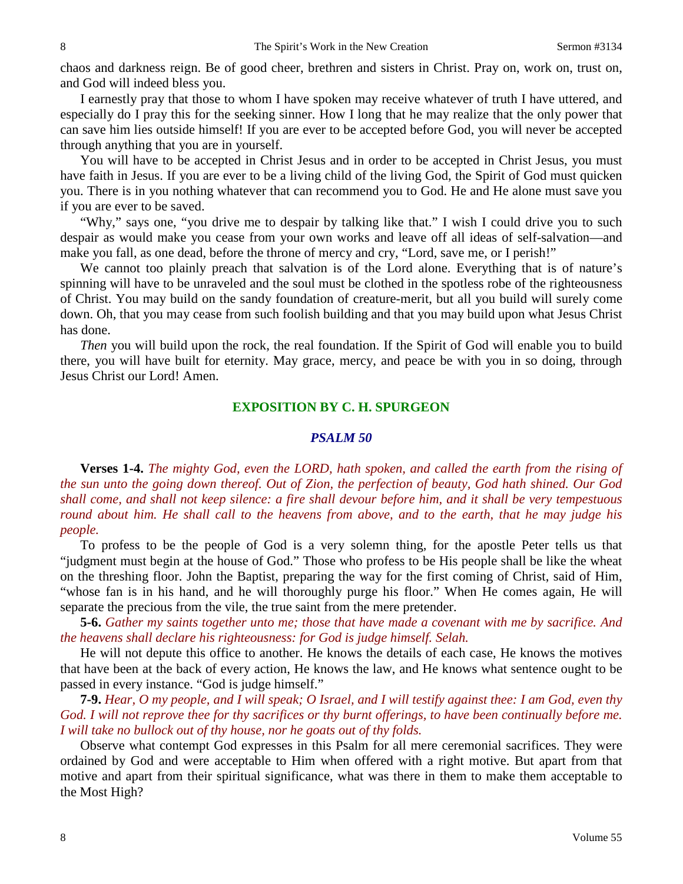chaos and darkness reign. Be of good cheer, brethren and sisters in Christ. Pray on, work on, trust on, and God will indeed bless you.

I earnestly pray that those to whom I have spoken may receive whatever of truth I have uttered, and especially do I pray this for the seeking sinner. How I long that he may realize that the only power that can save him lies outside himself! If you are ever to be accepted before God, you will never be accepted through anything that you are in yourself.

You will have to be accepted in Christ Jesus and in order to be accepted in Christ Jesus, you must have faith in Jesus. If you are ever to be a living child of the living God, the Spirit of God must quicken you. There is in you nothing whatever that can recommend you to God. He and He alone must save you if you are ever to be saved.

"Why," says one, "you drive me to despair by talking like that." I wish I could drive you to such despair as would make you cease from your own works and leave off all ideas of self-salvation—and make you fall, as one dead, before the throne of mercy and cry, "Lord, save me, or I perish!"

We cannot too plainly preach that salvation is of the Lord alone. Everything that is of nature's spinning will have to be unraveled and the soul must be clothed in the spotless robe of the righteousness of Christ. You may build on the sandy foundation of creature-merit, but all you build will surely come down. Oh, that you may cease from such foolish building and that you may build upon what Jesus Christ has done.

*Then* you will build upon the rock, the real foundation. If the Spirit of God will enable you to build there, you will have built for eternity. May grace, mercy, and peace be with you in so doing, through Jesus Christ our Lord! Amen.

# **EXPOSITION BY C. H. SPURGEON**

## *PSALM 50*

**Verses 1-4.** *The mighty God, even the LORD, hath spoken, and called the earth from the rising of the sun unto the going down thereof. Out of Zion, the perfection of beauty, God hath shined. Our God shall come, and shall not keep silence: a fire shall devour before him, and it shall be very tempestuous round about him. He shall call to the heavens from above, and to the earth, that he may judge his people.*

To profess to be the people of God is a very solemn thing, for the apostle Peter tells us that "judgment must begin at the house of God." Those who profess to be His people shall be like the wheat on the threshing floor. John the Baptist, preparing the way for the first coming of Christ, said of Him, "whose fan is in his hand, and he will thoroughly purge his floor." When He comes again, He will separate the precious from the vile, the true saint from the mere pretender.

**5-6.** *Gather my saints together unto me; those that have made a covenant with me by sacrifice. And the heavens shall declare his righteousness: for God is judge himself. Selah.* 

He will not depute this office to another. He knows the details of each case, He knows the motives that have been at the back of every action, He knows the law, and He knows what sentence ought to be passed in every instance. "God is judge himself."

**7-9.** *Hear, O my people, and I will speak; O Israel, and I will testify against thee: I am God, even thy God. I will not reprove thee for thy sacrifices or thy burnt offerings, to have been continually before me. I will take no bullock out of thy house, nor he goats out of thy folds.*

Observe what contempt God expresses in this Psalm for all mere ceremonial sacrifices. They were ordained by God and were acceptable to Him when offered with a right motive. But apart from that motive and apart from their spiritual significance, what was there in them to make them acceptable to the Most High?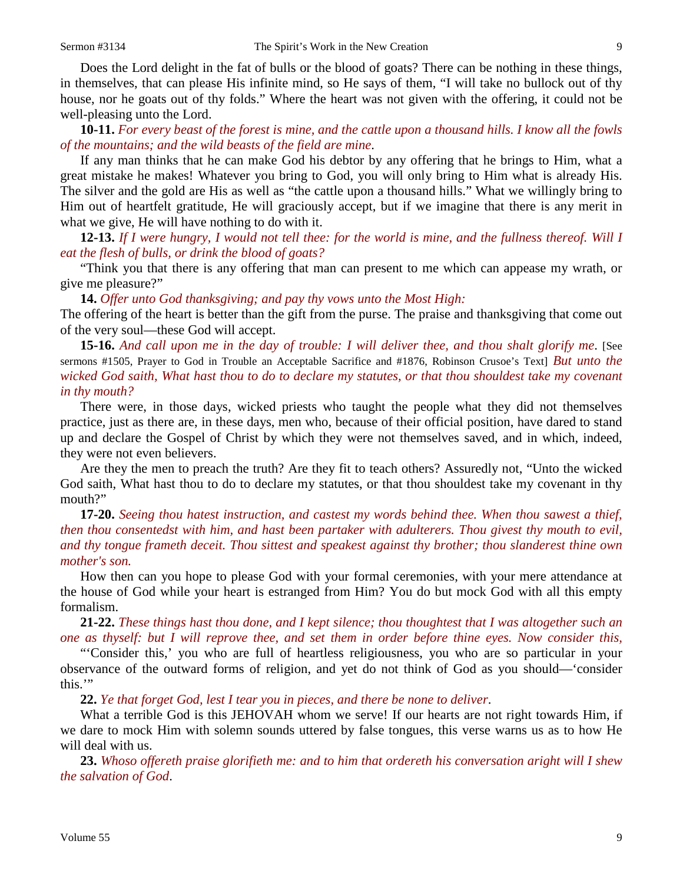Does the Lord delight in the fat of bulls or the blood of goats? There can be nothing in these things, in themselves, that can please His infinite mind, so He says of them, "I will take no bullock out of thy house, nor he goats out of thy folds." Where the heart was not given with the offering, it could not be well-pleasing unto the Lord.

**10-11.** *For every beast of the forest is mine, and the cattle upon a thousand hills. I know all the fowls of the mountains; and the wild beasts of the field are mine*.

If any man thinks that he can make God his debtor by any offering that he brings to Him, what a great mistake he makes! Whatever you bring to God, you will only bring to Him what is already His. The silver and the gold are His as well as "the cattle upon a thousand hills." What we willingly bring to Him out of heartfelt gratitude, He will graciously accept, but if we imagine that there is any merit in what we give, He will have nothing to do with it.

**12-13.** *If I were hungry, I would not tell thee: for the world is mine, and the fullness thereof. Will I eat the flesh of bulls, or drink the blood of goats?* 

"Think you that there is any offering that man can present to me which can appease my wrath, or give me pleasure?"

**14.** *Offer unto God thanksgiving; and pay thy vows unto the Most High:*

The offering of the heart is better than the gift from the purse. The praise and thanksgiving that come out of the very soul—these God will accept.

**15-16.** *And call upon me in the day of trouble: I will deliver thee, and thou shalt glorify me*. [See sermons #1505, Prayer to God in Trouble an Acceptable Sacrifice and #1876, Robinson Crusoe's Text] *But unto the wicked God saith, What hast thou to do to declare my statutes, or that thou shouldest take my covenant in thy mouth?* 

There were, in those days, wicked priests who taught the people what they did not themselves practice, just as there are, in these days, men who, because of their official position, have dared to stand up and declare the Gospel of Christ by which they were not themselves saved, and in which, indeed, they were not even believers.

Are they the men to preach the truth? Are they fit to teach others? Assuredly not, "Unto the wicked God saith, What hast thou to do to declare my statutes, or that thou shouldest take my covenant in thy mouth?"

**17-20.** *Seeing thou hatest instruction, and castest my words behind thee. When thou sawest a thief, then thou consentedst with him, and hast been partaker with adulterers. Thou givest thy mouth to evil, and thy tongue frameth deceit. Thou sittest and speakest against thy brother; thou slanderest thine own mother's son.*

How then can you hope to please God with your formal ceremonies, with your mere attendance at the house of God while your heart is estranged from Him? You do but mock God with all this empty formalism.

**21-22.** *These things hast thou done, and I kept silence; thou thoughtest that I was altogether such an one as thyself: but I will reprove thee, and set them in order before thine eyes. Now consider this,*

"'Consider this,' you who are full of heartless religiousness, you who are so particular in your observance of the outward forms of religion, and yet do not think of God as you should—'consider this.'"

**22.** *Ye that forget God, lest I tear you in pieces, and there be none to deliver*.

What a terrible God is this JEHOVAH whom we serve! If our hearts are not right towards Him, if we dare to mock Him with solemn sounds uttered by false tongues, this verse warns us as to how He will deal with us.

**23.** *Whoso offereth praise glorifieth me: and to him that ordereth his conversation aright will I shew the salvation of God*.